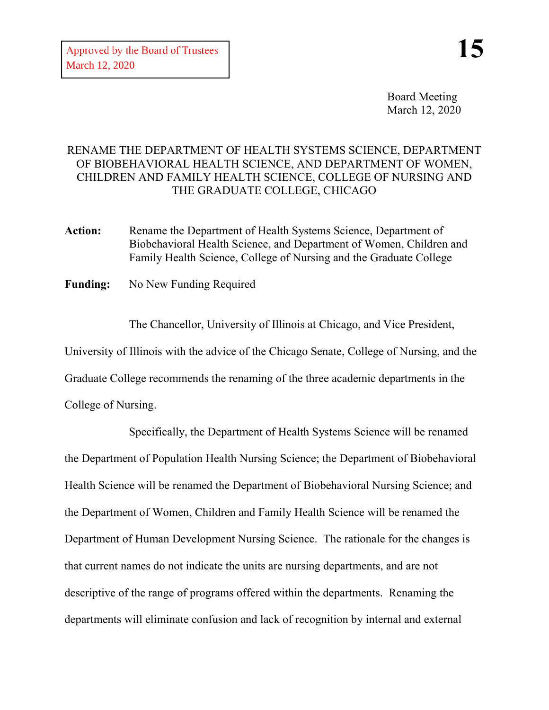Board Meeting March 12, 2020

## RENAME THE DEPARTMENT OF HEALTH SYSTEMS SCIENCE, DEPARTMENT OF BIOBEHAVIORAL HEALTH SCIENCE, AND DEPARTMENT OF WOMEN, CHILDREN AND FAMILY HEALTH SCIENCE, COLLEGE OF NURSING AND THE GRADUATE COLLEGE, CHICAGO

- Action: Rename the Department of Health Systems Science, Department of Biobehavioral Health Science, and Department of Women, Children and Family Health Science, College of Nursing and the Graduate College
- **Funding:** No New Funding Required

The Chancellor, University of Illinois at Chicago, and Vice President, University of Illinois with the advice of the Chicago Senate, College of Nursing, and the Graduate College recommends the renaming of the three academic departments in the College of Nursing.

Specifically, the Department of Health Systems Science will be renamed the Department of Population Health Nursing Science; the Department of Biobehavioral Health Science will be renamed the Department of Biobehavioral Nursing Science; and the Department of Women, Children and Family Health Science will be renamed the Department of Human Development Nursing Science. The rationale for the changes is that current names do not indicate the units are nursing departments, and are not descriptive of the range of programs offered within the departments. Renaming the departments will eliminate confusion and lack of recognition by internal and external